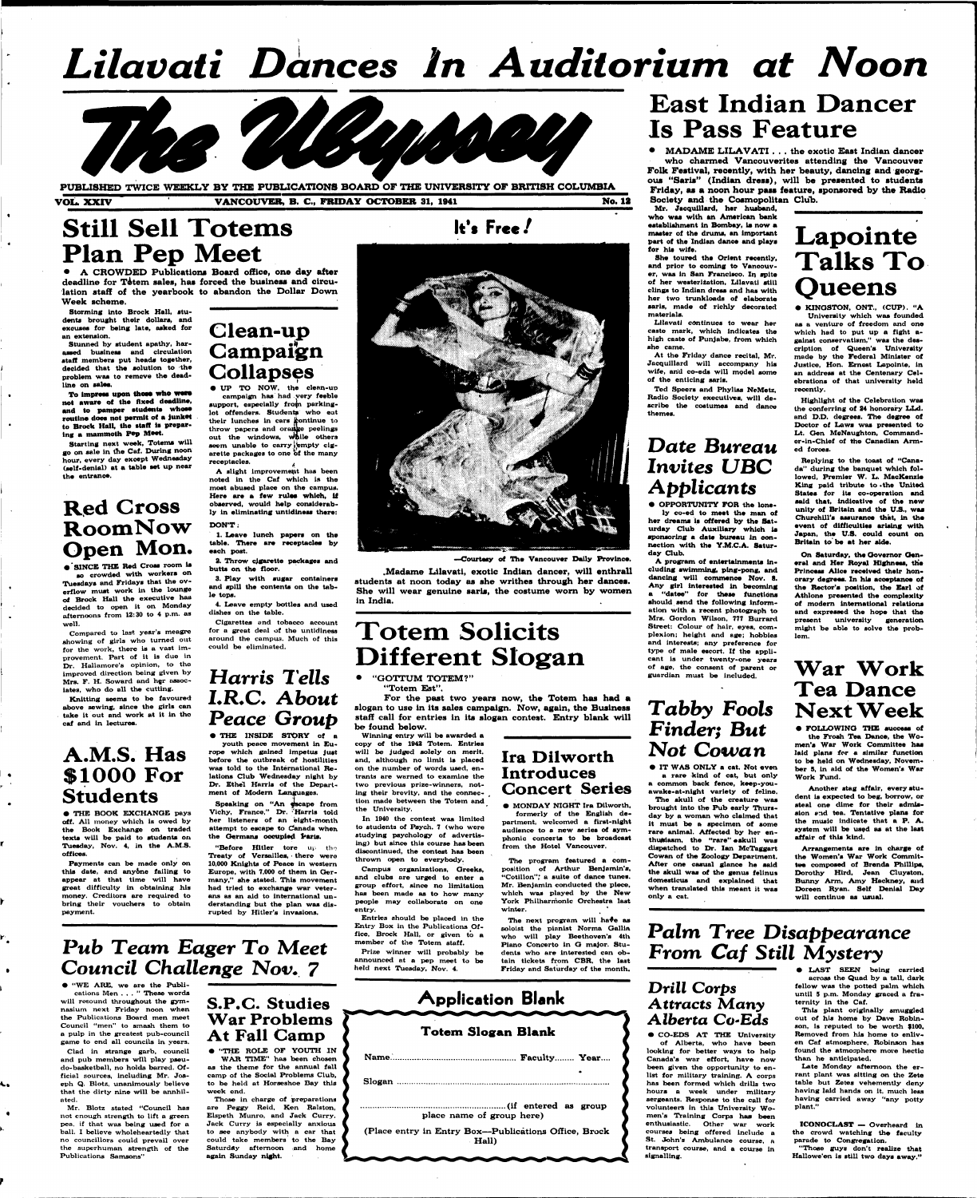# **!**  *Lilavati Dances In Auditorium at Noon*



## **Still Sell Totems Plan Pep Meet**

**PUBLISHED TWICE WEEKLY BY THE PUBLICATIONS BOARD OF THE UNIVERSITY OF BRITISH COLUMBIA VOL. XXIV VANCOUVER, B. C, FRIDAY OCTOBER 31, 1041 No. 12** 

Storming into Brock Hall, stu**dents brought their dollars, and excuses for being late, asked for an extension.** 

**• A CROWDED Publications Board office, one day after**  deadline for Totem sales, has forced the business and circu**lation staff of the yearbook to abandon the Dollar Down Week scheme.** 

To impress upon those who were **not aware of the fixed deadline, and to pamper studenta whoae routine doea not permit of a Junket to Brock Hall, the staff la preparing a mammoth Pep Meet.** 

**Stunned by student apathy, harassed business and circulation staff members put heada together, decided that the solution to the problem waa to remove the deadline on sales.** 

**Compared to last year's meagre showing of girls who turned out**  for the work, there is a vast im**provement. Part of it Is due in Dr. Hallamore's opinion, to the Improved direction being given by Mrs. F. H. Soward and hgr assoc**iates, who do all the cutting.

**Starting next week, Totema will go on sale in the Caf. During noon hour, every day except Wedneaday (self-denial) at a table set up near the entrance.** 

**Campaign Collapses • UP TO NOW, the clean-up campaign has had very feeble**  support, especially from parking**lot offenders. Students who eat**  their lunches in cars continue to **throw papers and orange peelings**  out the windows, while others seem unable to carry jempty cigarette packages to one of the many

## **Red Cross RoomNow Open Mon.**

**• 'SINCE THE Red Cross room la ao crowded with workera on Tuesdays and Fridays that the overflow muat work ln the lounge of Brock Hall the executive haa decided to open It on Monday afternoons from 12:30 to 4 p.m. as well.** 

**Knitting seems to be favoured above sewing, since the girls can take It out and work at it in tho caf and in lectures.** 

### **A.M.S. Has \$1000 For Students**

**• THE BOOK EXCHANGE pays**  off. All money which is owed by **the Book Exchange on traded texts will be paid to students on Tuesday, Nov. 4, In the A.M.S. offices.** 

**Payments can be made only on this date, and anyone falling to**  appear at that time will have **great difficulty in obtaining his money. Creditors are required to bring their vouchers to obtain payment.** 

**Clean-up** 

**receptacles. , A slight improvement has been noted ln the Caf which is the most abused place on the campus. Here are a few rules which, tf observed, would help considerably ln eliminating untidiness there: DON'T:** 

### **1. Leave lunch papers on the**  table. There are receptacles by **each post.**

**2. Throw cigarette packages and butts on the floor.** 

**3. Play with sugar containers and spill the contents on the tabl e tops.** 

> Winning entry will be awarded a **copy of the 1942 Totem. Entries will be judged solely on merit, and, although no limit ls placed on the number of words used, entrants are warned to examine the two previous prize-winners, noting their brevity, and the connection made between the Totem and**

**4. Leave empty bottles and used dishes on the table.** 

**Cigarettes and tobacco account for a great deal of the untidiness around the campua. Much of this could be eliminated.** 

## *Harris Tells LR.C. About Peace Group*

*•* **THE INSIDE STORY of a youth peace movement In Eu-**

**rope which gained Impetus just before the outbreak of hostilities was told to the International Relations Club Wednesday night by Dr. Ethel Harris of the Department of Modern Languages.** 

> **MONDAY NIGHT Ira Dilw formerly of the English de partment, welcomed a first-night**

**Speaking on "An escape from** 



**Vichy, France," Dr. ''Harris told her listeners of an eight-month attempt to escape to Canada when, the Germans occupied Paris.** 

> The next program will have as **soloist the pianist Norma Gallia who will play Beethoven's 4th Piano Concerto ln Q major. Students who are Interested can obtain tickets from CBR, the laat Friday and Saturday of the month.**

**"Before Hitler tore up tho Treaty of Versailles, • there were 10,000 Knights of Peace In western Europe, with 7,000 of them In Germany," she stated. This movement had tried to exchange war veterans as an aid to International understanding but the plan was disrupted by Hitler's invasions.** 

Mr. Jacquillard, her husband, **who was with sn American bank establishment in Bombay, ia now a master ot the drums, an important part of the Indian dance and plays for hia wife.** 

### *Pub Team Eager To* **Meet**  *Council Challenge* **Nov. 7**

**• "WE ARE, we are the Publi-**

**cations Men ... " These words •will resound throughout the gymnasium next Friday noon when the Publications Board men meet Council "men" to smash them to a pulp in the greatest pub-council game to end all councils In years.** 

**Clad In strange garb, council and pub members will play pseudo-basketball, no holds barred. Official sources, including Mr. Joseph Q. Blotz, unanimously believe thot the dirty nine will be annhilated.** 

**Mr. Blotz stated "Council has not enough strength to lift a green pea, if that was being used for a ball. I believe wholeheartedly that no councillors could prevail over the superhuman strength of the Publications Samsons"** 

### **S.P.C. Studies War Problems At Fall Camp**

**• "THE ROLE OF YOUTH IN WAR TIME" has been chosen as the theme for the annual fall camp of the Social Problems Club, to be held at Horseshoe Bay this week end.** 

**Those In charge of preparations are Peggy Reld, Ken Ralston, Elspeth Munro, and Jack Curry. Jack Curry is especially anxious to see anybody with a car that could take members to the Bay Saturday afternoon and home again Sunday night.** 

**—Courtesy of Ih e Vancouver Dally Provlnoe.** 

**.Madame Lilavati, exotic Indian dancer, will enthrall students at noon today as she writhes through her dances. She will wear genuine saris, the costume worn by women in India.** 

## **Totem Solicits Different Slogan**

**• "GOTTUM TOTEM?"** 

**"Totem Est".** 

**For the past two years now, the Totem has had a slogan to use in its sales campaign. Now, again, the Business staff call for entries in its slogan contest. Entry blank will be found below.** 

**the University.** 

**In 1940 the contest waa limited to students of Psych. 7 (who wore studying psychology of advertising) but since this course has been discontinued, the contest has been thrown open to everybody.** 

**Campus organizations, Oreeks, and clubs are urged to enter a group effort, since no limitation**  has been made as to how many **people may collaborate on one entry.** 

**Entries should be placed in the Entry Box ln the Publications Office, Brock Hall, or given to a member of the Totem staff.** 

**Prize winner will probably be announced at a pep meet to be held next Tuesday, Nov. 4.** 



**audience to a new series of sym phonic concerts to be broadcast from the Hotel Vancouver.** 

**The program featured a composition of Arthur Benjamin's, "Cotillon",' a suite of dance tunes. Mr. Benjamin conducted the piece, which was played by the New York Philharmonic Orchestra last •winter. '** 



## **East Indian Dancer Is Pass Feature**

**• MADAME LILAVATI . . . the exotic East Indian dancer who charmed Vancouverites attending the Vancouver Folk Festival, recently, with her beauty, dancing and georgous "Saris" (Indian dress), will be presented to students Friday, as a noon hour pass feature, sponsored by the Radio Society and the Cosmopolitan Club.** 

**She toured the Orient recently, and prior to coming to Vanoouver, waa ln San Francisco. In aplte**  of her westerization, Lilavati still **clings to Indian dresa and has with her two trunkloada of elaborate saris, made ot richly decorated materials.** 

**Lilavati continues to wear her caste mark, which indicates the high caste of Punjabe, from which she came.** 

**At the Friday dance recital, Mr. Jacqulllard will accompany hla wife, and co-eds will model some of the enticing saris.** 

**Ted Speers and Phyllss NeMetz, Radio Society executives, will de scribe the costumes and dance themes.** 

### *Date Bureau Invites UBC Apph icants*

**• OPPORTUNITY FOR the lonely co-ed to meet the man of her dreams is offered by the Saturday Club Auxiliary which la sponsoring a date bureau in connection with the Y.M.C.A. Saturday Club.** 

**A program of entertainments including swimming, ping-pong, and dancing will commence Nov. 8. A ny girl interested ln becoming a "datee" for these functions ahould send the following Information with a recent photograph to Mrs. Gordon Wilson, 777 Burrard Street: Colour of hair, eyes, complexion; height and age; hobbles and Interests; any preference for type of male escort. If the applicant ls under twenty-one years of age, the consent of parent or guardian must be included.** 

## *Tabby Fools Finder; But*  **Not** *Cowan*

**• IT WAS ONLY a cat. Not even a rare kind of cat, but only a common back fence, keep-youawake-at-nlght variety of feline.** 

**The skull of the creature waa** 

**brought into the Pub early Thursday by a woman who claimed that it must be a specimen of some rare animal. Affected by her enthusiasm, the "rare" eakull was dispatched to Dr. Ian McTaggart Cowan of the Zoology Department. After one casual glance he said the skull waa of the genus fellnus domestlcus and explained that when translated this meant It was only a cat.** 

**Lapointe Talks To Queens** 

**• KINGSTON, ONT., (CUP). "A Unlveralty which was founded** 

**as a venture of freedom and one which had to put up a fight against conservatism," was the description of Queen's University made by the Federal Minister of Justice, Hon. Ernest Lapointe, In an address at the Centenary Celebrations of that university held reoently.** 

**Highlight of the Celebration was the conferring of 24 honorary LLd. and D.D. degrees. The degree of Doctor of Lows was presented to Lt. Oen McNaughton, Commander-in-Chief of the Canadian Armed forces.** 

**Replying to the toast of "Canada" during the banquet which followed, Premier W. L. MacKenzie King paid tribute to .the United Statea for its co-operation and said that. Indicative of the new unity of Britain and the U.S., was Churchill's assurance that, ln the event of difficulties arising with Japan, the U.S. could count on Britain to'be at her aide.** 

**On Saturday, the Governor General and Her Royal Highness, the Princess Alice received their honorary degrees. In hla acceptance of the Rector's position, the Earl of Athlone presented the complexity of modern International relations and expressed the hope that the present university generation**  might be able to solve the prob**lem.** 

### **War Work Tea Dance Next Week**

**• FOLLOWING TKE success ot the Frosh Tea Dance, the Women'a War Work Committee haa laid plans for a similar function to be held on Wednesday, November 5, ln aid of the Women'a War Work Fund.** 

**Another stag affair, every atudent ls expected to beg, borrow, or steal one dime for their admis-**

It's Free!

**sion and tea. Tentative plans for the music indicate that a P. A. system will be used as at the laat affair of this kind.** 

**Arrangements are in charge of the Women'a War Work Committee composed of Brenda Phillips, Dorothy Hird, Jean Cluyston, Bunny Arm, Amy Hackney, and Doreen Ryan. Self Denial Day will continue as usual.** 

### *Palm Tree Disappearance From Caf Still Mystery*

### *Drill Corps Attracts* Many *Alberta Co-Eds*

**• CO-EDS AT THE University of Alberta, who have been**  looking for better ways to help **Canada's war effort, have now been given the opportunity to enlist for military training. A corps has been formed which drills two hours a week under military sergeants. Response to the call for volunteers in this University Women's Training Corps haa been enthusiastic. Other war work courses being offered include a St. John's Ambulance course, a transport course, and a course In signalling.** 

**• LAST SEEN being carried across the Quad by a tall, dark**  fellow was the potted palm which **until 5 p.m. Monday graced a fraternity ln the Caf.** 

**This plant originally smuggled out of his home by Dave Robinson, Is reputed to be worth 9100. Removed from his home to enliven Caf atmosphere, Robinson has found the atmosphere more hectic than he anticipated.** 

**Late Monday afternoon the errant plant was sitting on the Zete table but Zetes vehemently deny having laid hands on It, much less having carried away "any potty plant."** 

**ICONOCLAST — Overheard In the crowd watching the faculty parade to Congregation.** 

**"Those guys don't realize that Hallowe'en is still two days away."**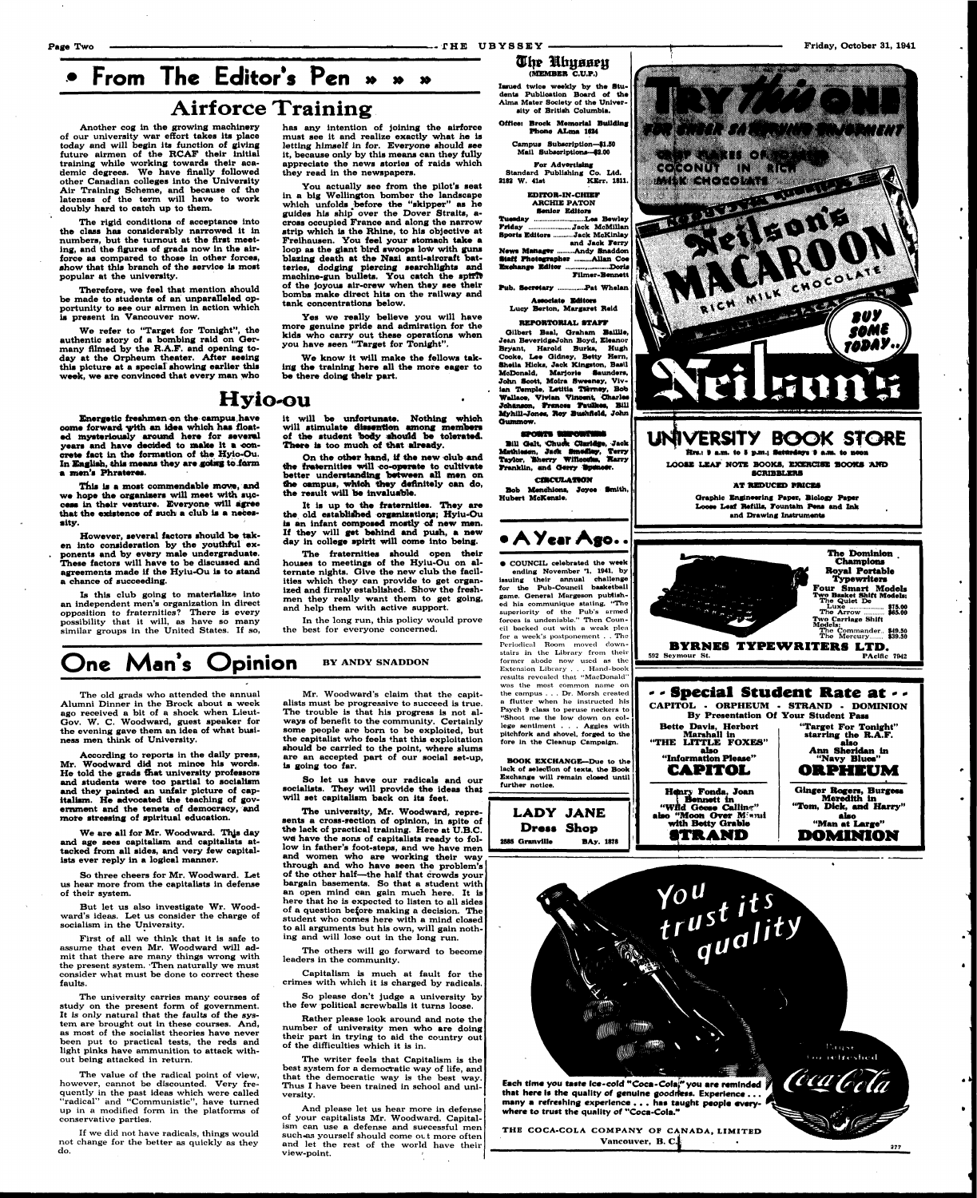## **From The Editor's Pen » Airforce Training**

• كَانْ الْمُسْرِّينَ الْمَرْسَدِ الْمَرْكَةِ مَنْ مَنْ يَرْبُونَ لَأَنْ بَاسَنَ الْأَنْبَاءَ الْمَرْ

**Another cog in the growing machinery of our university war effort takes its place today and will begin its function of giving future airmen of the RCAF their Initial training while working towards their academic degrees. We have finally followed other Canadian colleges Into the University Air Training Scheme, and because of the lateness of the term will have to work doubly hard to catch up to them.** 

**Therefore, we feel that mention ahould be made to students of an unparalleled opportunity to see our airmen in action which**  is present in Vancouver now.

**The rigid conditions of acceptance into the class has considerably narrowed it in numbers, but the turnout at the first meeting, and the figures of grads now in the airforce as compared to those in other forces, show that this branch of the servloe ls most popular at the university.** 

**We refer to "Target for Tonight", the authentic story of a bombing raid on Germany filmed by the R.A.F. and opening today at the Orpheum theater. After seeing**  this picture at a special showing earlier this **week, we are convinced that every man who**  **has any intention of joining the airforce must see it and realize exactly what he is letting himself in for. Everyone should see it, because only by this means can they fully appreciate the news stories of raids which they read in the newspapers.** 

**On the other hand, if the new olub and the fraternities will co-operate to cultivate better understanding between all men on the oampus, which they definitely can do,**  the result will be invaluable.

**You actually see from the pilot's seat in a big Wellington bomber the landscape which unfolds ^before the "skipper" as he**  guides his ship<sup>t</sup> over the Dover Straits, a**cross occupied France and along the narrow strip which is the Rhine, to his objective at Frelhausen. You feel your stomach take a**  loop as the giant bird swoops low with guns **blazing death at the Nazi anti-aircraft batteries, dodging piercing searchlights and**  machine-gun bullets. You catch the spirit **of the joyous air-crew when they see their bombs make direct hits on the railway and tank concentrations below.** 

**Yes we really believe you will have more genuine pride and admiration for the kids who carry out these operations when you have** *Been* **"Target for Tonight".** 

**We know it will make the fellows taking the training here all the more eager to be there doing their part.** 

## **Hyio-ou**

**Energetic freshmen on the campua.have oome forward vith an idea which haa floated mysteriously around here for severed**  years and have decided to make it a con**crete fact in the formation of the Hyio-Ou. In English, this means they are going to form a men's Phrateres.** 

**This is a most commendable move, and we hope the organisers will meet with sujocess in their venture. Everyone will agree that the existence of such a club ia a necessity.** 

**However, several factors should be taken into consideration by the youthful exponents and by every male undergraduate. These factors will have to be discussed and agreements made if the Hylu-Ou is to stand a chance of succeeding.** 

**Is this club going to materialize into an independent men's organization in direct opposition to fraternities? There is every possibility that it will, as have so many similar groups in the United States. If so,** 

**it will be unfortunate. Nothing whioh will stimulate dissention among members**  of the student body should be tolerated. **There is too muoh of that already.** 

**It is up to the fraternities. They are the, old established organizations; Hyiu-Ou is an infant oomposed mostly of new men. If they will get behind and push, a new day in college apirit will come into being.** 

**The fraternities should open their houses to meetings of the Hylu-Ou on alternate nights. Give the new club the facilities which they can provide to get organized and firmly established. Show the freshmen they really want them to get going, and help them with active support.** 

### $\overline{\bm{u}}$ hr Uhyssey **(MEMBER C.U.P.)**

**Office: Brock Memorial Building**  Phone ALma 1624

**For Advertising**  Standard Publishing Co. Ltd.<br>2182 W. 41st KErr. 181 **KErr. 1811.** 

**In the long run, this policy would prove the best for everyone concerned.** 

**Tueaday - \_ Lea Bewley Friday - Jack McMillan Sports Editors Jack McKlnlay and Jack Ferry News Manager .........Andy Snaddon** 

## One Man's Opinion **BY ANDY SNADDON**

**Staff Photographer ..........Allan Coe Exchange Editor Fllmer-Bennett** 

**Pub. Secretary ...............Pat Whelan** 

**The old grads who attended the annual Alumni Dinner in the Brock about a week ago received a bit of a shock when Lieut-Gov. W. C. Woodward, guest speaker for the evening gave them an idea of what business men think of University.** 

**Bill Oalt, OhwAt Otat-gfe. Jack Mathlaien, Jatfk Bmedlsy, Terry Taylor, Sherry Willsouks, Harry** 

**According to reports in the daily press, Mr. Woodward did not mince his words. He told the grads that university professors and students were too partial to socialism and they painted an unfair picture of capitalism. He advocated the teaching of gov-** **Franklin, and Gerry Spencer. CIRCVLATION** 

**ernment and the tenets of democracy, and more stressing of spiritual education.** 

**We are all for Mr. Woodward. Thjs day and age sees capitalism and capitalists attacked from all sides, and very few capitalists ever reply in a logical manner.** 

**So three cheers for Mr. Woodward. Let us hear more from the capitalists in defense of their system.** 

**But let us also investigate Wr. Woodward's ideas. Let us consider the charge of socialism in the University.** 

**First of all we think that it is safe to assume that even Mr. Woodward will ad**mit that there are many things wrong with **the present system. Then naturally we must consider what must be done to correct these faults.** 

**The** Commander.. **849.50 The** Mercury **839.30 BYRNES TYPEWRITERS LTD.**<br>eymour st. 592 Seymour St.

**The university carries many courses of study on the present form of government. It is only natural that the faults of the system are brought out in these courses. And, as most of the socialist theories have never been put to practical tests, the reds and light pinks have ammunition to attack without being attacked in return.** 

**The value of the radical point of view, however, cannot be discounted. Very frequently in the past ideas which were called "radical" and "Communistic", have turned up in a modified form in the platforms of conservative parties.** 

**If we did not have radicals, things would not change for the better as quickly as they do.** 

**Mr. Woodward's claim that the capitalists must be progressive to succeed is true. The trouble is that his progress is not always of benefit to the community. Certainly some people are born to be exploited, but the capitalist who feels that this exploitation should be carried to the point, where slums are an accepted part of our social set-up, is going too far.** 

**So let us have our radicals and our socialists. They will provide the ideas that will set capitalism back on its feet.** 

**The university, Mr. Woodward, represents a cross-section of opinion, in spite of the lack of practical training. Here at U.B.C. wa have the sons of capitalists ready to follow in father's foot-steps, and we have men and women who are working their way through and who have seen the problem's of the other half—the half that crowds your bargain basements. So that a student with an open mind can gain much here. It is here that he is expected to listen to all sides of a question before making a decision. The student who comes here with a mind closed to all arguments but his own, will gain nothing and will lose out in the long run.** 

**The others will go forward to become leaders in the community.** 

**Capitalism is much at fault for the crimes with which it is charged by radicals.** 

**So please don't judge a university by the few political screwballs it turns loose.** 

**Rather please look around and note the number of university men who are doing their part in trying to aid the country out of the difficulties which it is in.** 

**The writer feels that Capitalism is the best system for a democratic way of life, and that the democratic way is the best way. Thus I have been trained in school and university.** 

**And please let us hear more in defense of your capitalists Mr. Woodward. Capitalism can use a defense and successful men**  such-as yourself should come out more often **and let the rest of the world have their view-point. »** 

**Issued twice weekly by the Students Publication Board of the**  Alma Mater Society of the Univer**alty of Britiah Columbia.** 

> **Campua Subscription—fl.50 Mall Subscriptions—f2.00**

**EDITOR-IN-CHIEF ARCHIE PATON Senior Edltora** 

**Associate Editors Lucy Berton, Margaret Reid** 

**REPORTORLAL STAFF** 

**Ollbert Baal, Oraham BalUle, Jean BeverldgeJohn Boyd, Eleanor Bryant, Harold Burks, Hugh Cooke, Lee Oldney, Betty Hern, Sheila Hicks, Jack Kingston, Basil McDonald, Marjorie Saunders, John Scott, Molra Sweeney, Viv**ian Temple, Letitia Tierney, Bob **Wallace, Vivian Vincent, Charles Johsnson, Frances Faulkes, Bill Myhlll-Jones, Key Bu-hildd, John Oummow.** 

### SPORTS THEORISING

**Bob Menohlons, Joyce Smith, Hubert McKensle.** 

## **• AYeat Ago. .**

**• COUNCIL celebrated the week**  ending November '1, 1941, by **Issuing their annual challenge for the Pub-Council basketball game. Oeneral Margeson published his communique** staling, **"The**  superiority **of** the Pub's armed forces is undeniable." Then Council backed out with **o** weak plea for a week's postponement . . The Periodical Room moved downstairs in the Library from their former abode now used as the Extension Library . . . Hand-book results revealed that "MacDonald" was the most common name on the campus . . . Dr. Morsh created **a flutter when** he instructed his Psych 9 class to peruse neckers to **"Shoot me the low down on college sentiment . . . Aggies with pitchfork and shovel, forged to the fore ln the Cleanup Campaign.** 

**BOOK EXCHANGE—Due to the lack ot selection of texts, the Book Exchange will remain closed until further notice.** 



**LADY JANE Dress Shop 2585 Granville BAy. 1878 "Wild Geese Callin-" also "Moon Over M'irai with Betty Grable STR A ND "Tom, Dkk, and Harry" also "Man at Large" DOMINION** 





THE COCA-COLA COMPANY OF CANADA, LIMITED Vancouver, **B. C.**